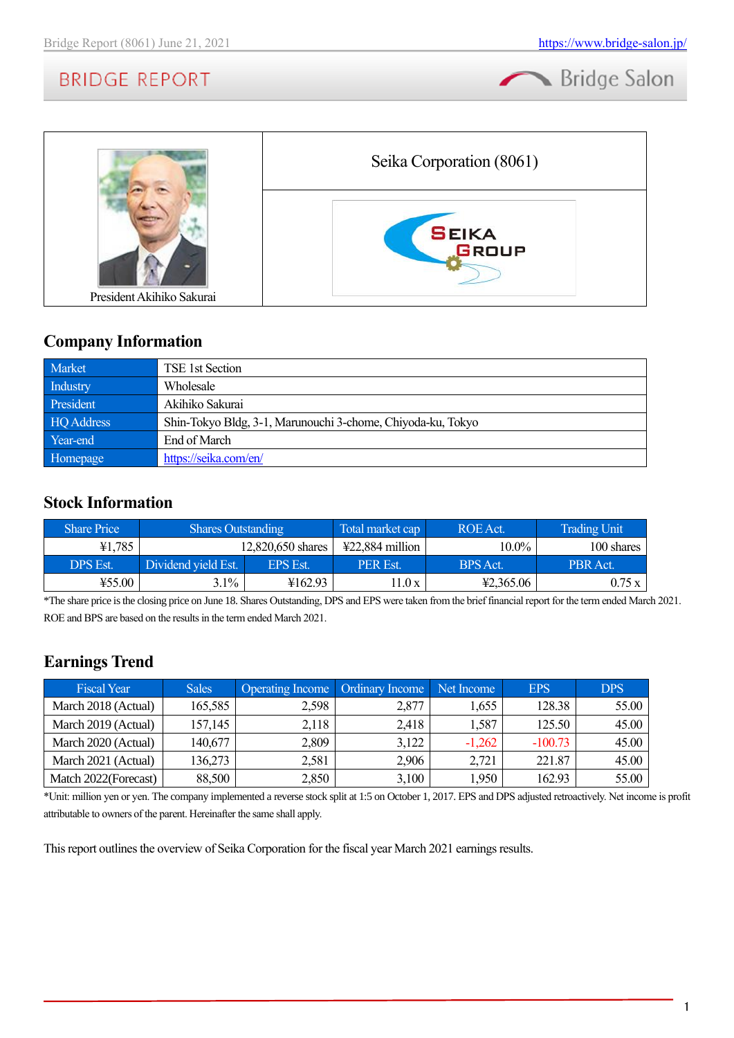Bridge Salon



### **Company Information**

| Market     | TSE 1st Section                                             |
|------------|-------------------------------------------------------------|
| Industry   | Wholesale                                                   |
| President  | Akihiko Sakurai                                             |
| HQ Address | Shin-Tokyo Bldg, 3-1, Marunouchi 3-chome, Chiyoda-ku, Tokyo |
| Year-end   | End of March                                                |
| Homepage   | https://seika.com/en/                                       |

### **Stock Information**

| <b>Share Price</b> | <b>Shares Outstanding</b> |                 | Total market cap                     | ROE Act.  | <b>Trading Unit</b> |
|--------------------|---------------------------|-----------------|--------------------------------------|-----------|---------------------|
| ¥1,785             | 12,820,650 shares         |                 | $\text{\textsterling}22,884$ million | 10.0%     | 100 shares          |
| DPS Est.           | Dividend vield Est.       | <b>EPS Est.</b> | <b>PER Est.</b>                      | BPS Act.  | PBR Act.            |
| ¥55.00             | 3.1%                      | ¥162.93         | 1.0x                                 | 42,365.06 | 0.75x               |

\*The share price is the closing price on June 18. Shares Outstanding, DPS and EPS were taken from the brief financial report for the term ended March 2021. ROE and BPS are based on the results in the term ended March 2021.

## **Earnings Trend**

| <b>Fiscal Year</b>    | <b>Sales</b> | Operating Income   Ordinary Income   Net Income |       |          | <b>EPS</b> | <b>DPS</b> |
|-----------------------|--------------|-------------------------------------------------|-------|----------|------------|------------|
| March 2018 (Actual)   | 165,585      | 2,598                                           | 2,877 | 1,655    | 128.38     | 55.00      |
| March 2019 (Actual)   | 157,145      | 2,118                                           | 2,418 | 1,587    | 125.50     | 45.00      |
| March 2020 (Actual)   | 140,677      | 2,809                                           | 3,122 | $-1,262$ | $-100.73$  | 45.00      |
| March 2021 (Actual)   | 136,273      | 2,581                                           | 2,906 | 2,721    | 221.87     | 45.00      |
| Match 2022 (Forecast) | 88,500       | 2,850                                           | 3,100 | 1,950    | 162.93     | 55.00      |

\*Unit: million yen or yen. The company implemented a reverse stock split at 1:5 on October 1, 2017. EPS and DPS adjusted retroactively. Net income is profit attributable to owners of the parent. Hereinafter the same shall apply.

This report outlines the overview of Seika Corporation for the fiscal year March 2021 earnings results.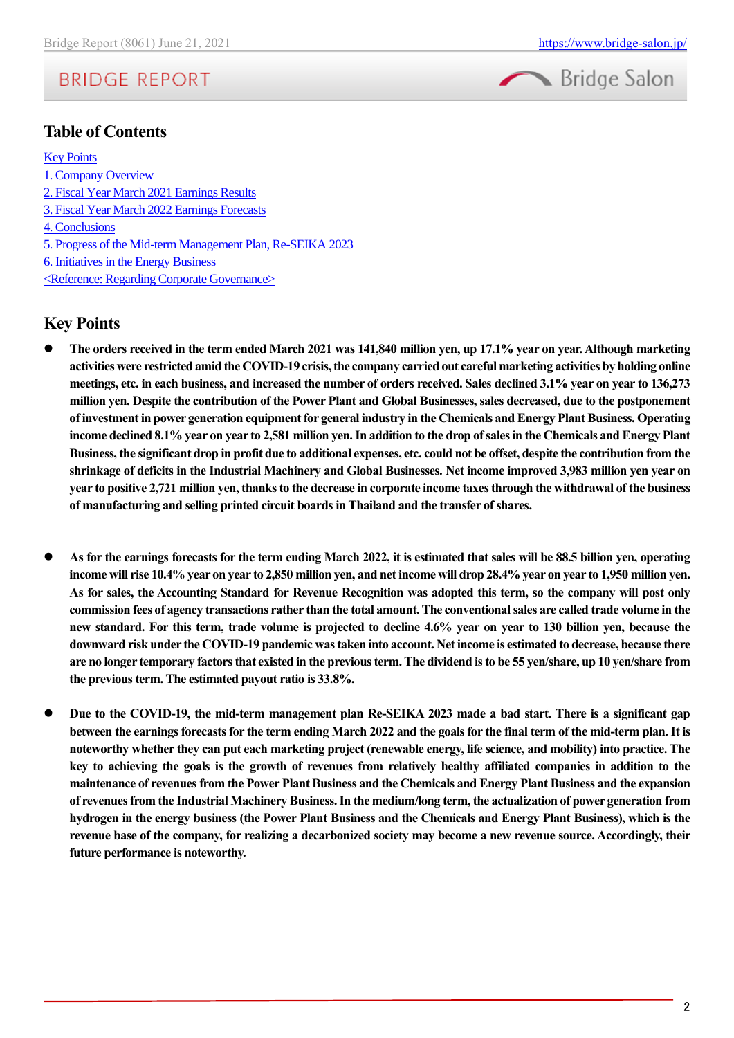

### **Table of Contents**

**[Key Points](#page-1-0)** [1. Company Overview](#page-2-0) [2. Fiscal Year March 2021 Earnings Results](#page-8-0) 3. [Fiscal Year March 2022](#page-10-0) Earnings Forecasts [4. Conclusions](#page-11-0) [5. Progress of the Mid-term Management Plan, Re-SEIKA 2023](#page-11-1) [6. Initiatives in the Energy Business](#page-11-2) [<Reference: Regarding Corporate Governance>](#page-12-0)

### <span id="page-1-0"></span>**Key Points**

- ⚫ **The orders received in the term ended March 2021 was 141,840 million yen, up 17.1% year on year. Although marketing activities were restricted amid the COVID-19 crisis, the company carried out careful marketing activities by holding online meetings, etc. in each business, and increased the number of orders received. Sales declined 3.1% year on year to 136,273 million yen. Despite the contribution of the Power Plant and Global Businesses, sales decreased, due to the postponement of investment in power generation equipment for general industry in the Chemicals and Energy Plant Business. Operating income declined 8.1% year on year to 2,581 million yen. In addition to the drop ofsales in the Chemicals and Energy Plant Business, the significant drop in profit due to additional expenses, etc. could not be offset, despite the contribution from the shrinkage of deficits in the Industrial Machinery and Global Businesses. Net income improved 3,983 million yen year on year to positive 2,721 million yen, thanks to the decrease in corporate income taxes through the withdrawal of the business of manufacturing and selling printed circuit boards in Thailand and the transfer of shares.**
- ⚫ **As for the earnings forecasts for the term ending March 2022, it is estimated that sales will be 88.5 billion yen, operating income will rise 10.4% year on year to 2,850 million yen, and net income will drop 28.4% year on year to 1,950 million yen. As for sales, the Accounting Standard for Revenue Recognition was adopted this term, so the company will post only commission fees of agency transactions rather than the total amount. The conventional sales are called trade volume in the new standard. For this term, trade volume is projected to decline 4.6% year on year to 130 billion yen, because the downward risk under the COVID-19 pandemic was taken into account. Net income is estimated to decrease, because there are no longer temporary factors that existed in the previous term. The dividend is to be 55 yen/share, up 10 yen/share from the previous term. The estimated payout ratio is 33.8%.**
- ⚫ **Due to the COVID-19, the mid-term management plan Re-SEIKA 2023 made a bad start. There is a significant gap between the earnings forecastsfor the term ending March 2022 and the goals for the final term of the mid-term plan. It is noteworthy whether they can put each marketing project (renewable energy, life science, and mobility) into practice. The key to achieving the goals is the growth of revenues from relatively healthy affiliated companies in addition to the maintenance of revenues from the Power Plant Business and the Chemicals and Energy Plant Business and the expansion of revenues from the Industrial Machinery Business. In the medium/long term, the actualization of power generation from hydrogen in the energy business (the Power Plant Business and the Chemicals and Energy Plant Business), which is the revenue base of the company, for realizing a decarbonized society may become a new revenue source. Accordingly, their future performance is noteworthy.**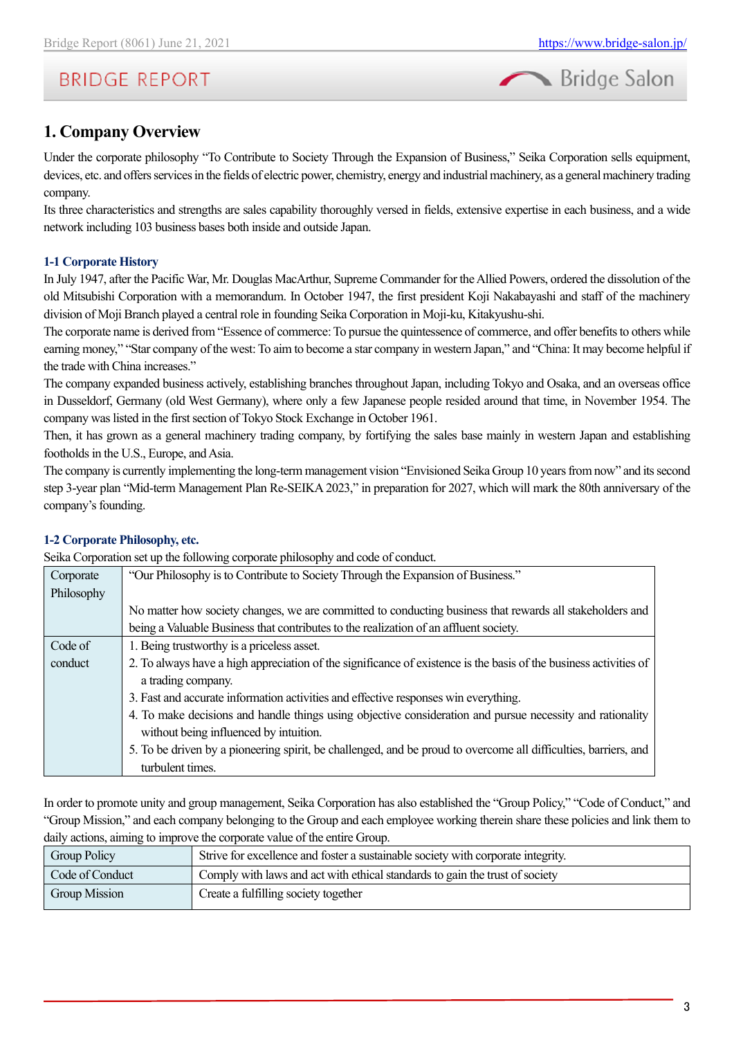

### <span id="page-2-0"></span>**1. Company Overview**

Under the corporate philosophy "To Contribute to Society Through the Expansion of Business," Seika Corporation sells equipment, devices, etc. and offers services in the fields of electric power, chemistry, energy and industrial machinery, as a general machinery trading company.

Its three characteristics and strengths are sales capability thoroughly versed in fields, extensive expertise in each business, and a wide network including 103 business bases both inside and outside Japan.

#### **1-1 Corporate History**

In July 1947, after the Pacific War, Mr. Douglas MacArthur, Supreme Commander for the Allied Powers, ordered the dissolution of the old Mitsubishi Corporation with a memorandum. In October 1947, the first president Koji Nakabayashi and staff of the machinery division of Moji Branch played a central role in founding Seika Corporation in Moji-ku, Kitakyushu-shi.

The corporate name is derived from "Essence of commerce: To pursue the quintessence of commerce, and offer benefits to others while earning money," "Star company of the west: To aim to become a star company in western Japan," and "China: It may become helpful if the trade with China increases."

The company expanded business actively, establishing branches throughout Japan, including Tokyo and Osaka, and an overseas office in Dusseldorf, Germany (old West Germany), where only a few Japanese people resided around that time, in November 1954. The company was listed in the first section of Tokyo Stock Exchange in October 1961.

Then, it has grown as a general machinery trading company, by fortifying the sales base mainly in western Japan and establishing footholds in the U.S., Europe, and Asia.

The company is currently implementing the long-term management vision "Envisioned Seika Group 10 years from now" and its second step 3-year plan "Mid-term Management Plan Re-SEIKA 2023," in preparation for 2027, which will mark the 80th anniversary of the company's founding.

#### **1-2 Corporate Philosophy, etc.**

Seika Corporation set up the following corporate philosophy and code of conduct.

| Corporate  | "Our Philosophy is to Contribute to Society Through the Expansion of Business."                                   |
|------------|-------------------------------------------------------------------------------------------------------------------|
| Philosophy |                                                                                                                   |
|            | No matter how society changes, we are committed to conducting business that rewards all stakeholders and          |
|            | being a Valuable Business that contributes to the realization of an affluent society.                             |
| Code of    | 1. Being trustworthy is a priceless asset.                                                                        |
| conduct    | 2. To always have a high appreciation of the significance of existence is the basis of the business activities of |
|            | a trading company.                                                                                                |
|            | 3. Fast and accurate information activities and effective responses win everything.                               |
|            | 4. To make decisions and handle things using objective consideration and pursue necessity and rationality         |
|            | without being influenced by intuition.                                                                            |
|            | 5. To be driven by a pioneering spirit, be challenged, and be proud to overcome all difficulties, barriers, and   |
|            | turbulent times.                                                                                                  |

In order to promote unity and group management, Seika Corporation has also established the "Group Policy," "Code of Conduct," and "Group Mission," and each company belonging to the Group and each employee working therein share these policies and link them to daily actions, aiming to improve the corporate value of the entire Group.

| <b>Group Policy</b>  | Strive for excellence and foster a sustainable society with corporate integrity. |
|----------------------|----------------------------------------------------------------------------------|
| Code of Conduct      | Comply with laws and act with ethical standards to gain the trust of society     |
| <b>Group Mission</b> | Create a fulfilling society together                                             |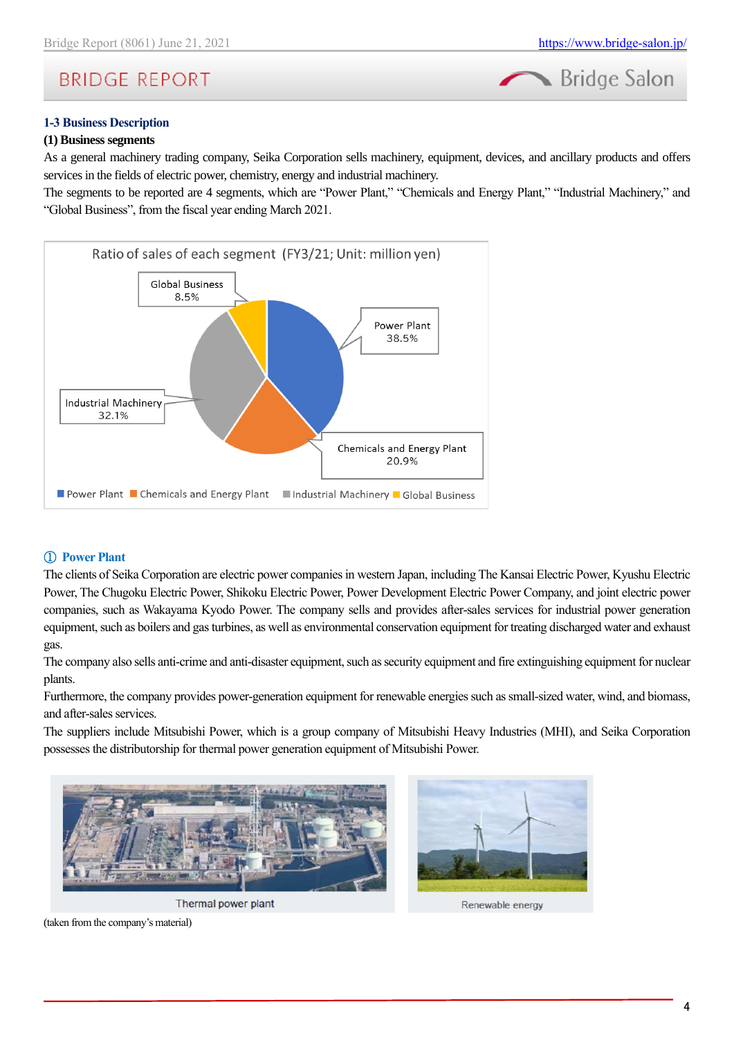

Bridge Salon

#### **1-3 Business Description**

#### **(1) Business segments**

As a general machinery trading company, Seika Corporation sells machinery, equipment, devices, and ancillary products and offers services in the fields of electric power, chemistry, energy and industrial machinery.

The segments to be reported are 4 segments, which are "Power Plant," "Chemicals and Energy Plant," "Industrial Machinery," and "Global Business", from the fiscal year ending March 2021.



### ① **Power Plant**

The clients of Seika Corporation are electric power companies in western Japan, including The Kansai Electric Power, Kyushu Electric Power, The Chugoku Electric Power, Shikoku Electric Power, Power Development Electric Power Company, and joint electric power companies, such as Wakayama Kyodo Power. The company sells and provides after-sales services for industrial power generation equipment, such as boilers and gas turbines, as well as environmental conservation equipment for treating discharged water and exhaust gas.

The company also sells anti-crime and anti-disaster equipment, such as security equipment and fire extinguishing equipment for nuclear plants.

Furthermore, the company provides power-generation equipment for renewable energies such as small-sized water, wind, and biomass, and after-sales services.

The suppliers include Mitsubishi Power, which is a group company of Mitsubishi Heavy Industries (MHI), and Seika Corporation possesses the distributorship for thermal power generation equipment of Mitsubishi Power.



Thermal power plant



Renewable energy

(taken from the company's material)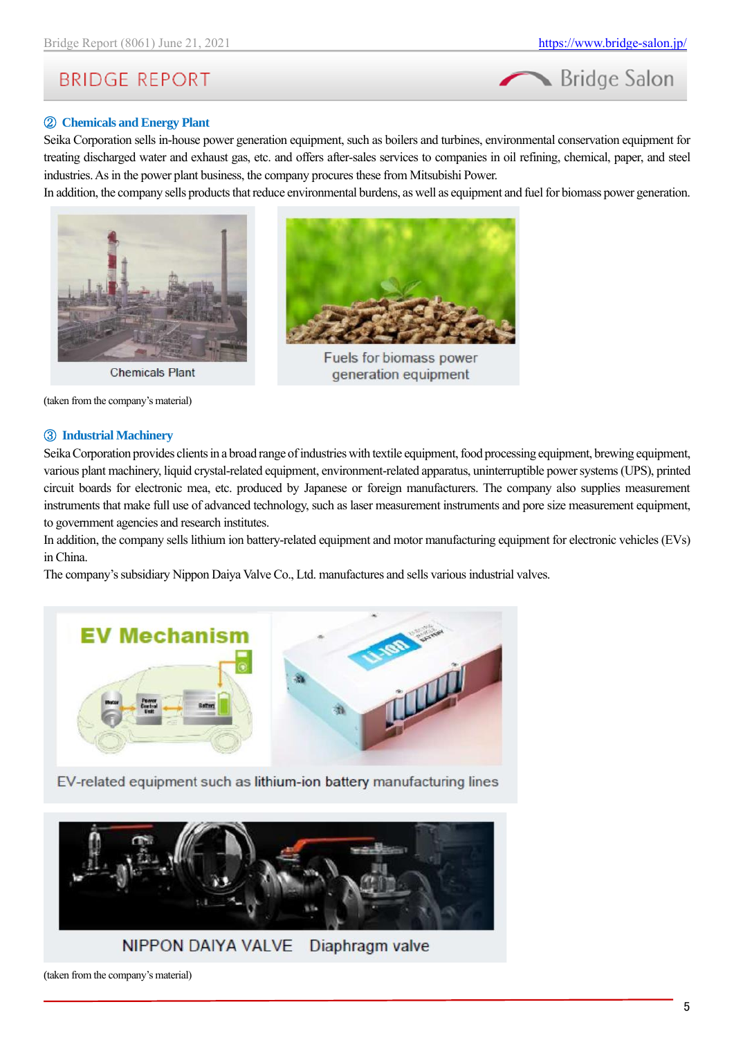

#### ② **Chemicals and Energy Plant**

Seika Corporation sells in-house power generation equipment, such as boilers and turbines, environmental conservation equipment for treating discharged water and exhaust gas, etc. and offers after-sales services to companies in oil refining, chemical, paper, and steel industries. As in the power plant business, the company procures these from Mitsubishi Power.

In addition, the company sells products that reduce environmental burdens, as well as equipment and fuel for biomass power generation.







Fuels for biomass power generation equipment

(taken from the company's material)

#### ③ **Industrial Machinery**

Seika Corporation provides clients in a broad range of industries with textile equipment, food processing equipment, brewing equipment, various plant machinery, liquid crystal-related equipment, environment-related apparatus, uninterruptible power systems (UPS), printed circuit boards for electronic mea, etc. produced by Japanese or foreign manufacturers. The company also supplies measurement instruments that make full use of advanced technology, such as laser measurement instruments and pore size measurement equipment, to government agencies and research institutes.

In addition, the company sells lithium ion battery-related equipment and motor manufacturing equipment for electronic vehicles (EVs) in China.

The company's subsidiary Nippon Daiya Valve Co., Ltd. manufactures and sells various industrial valves.



EV-related equipment such as lithium-ion battery manufacturing lines



(taken from the company's material)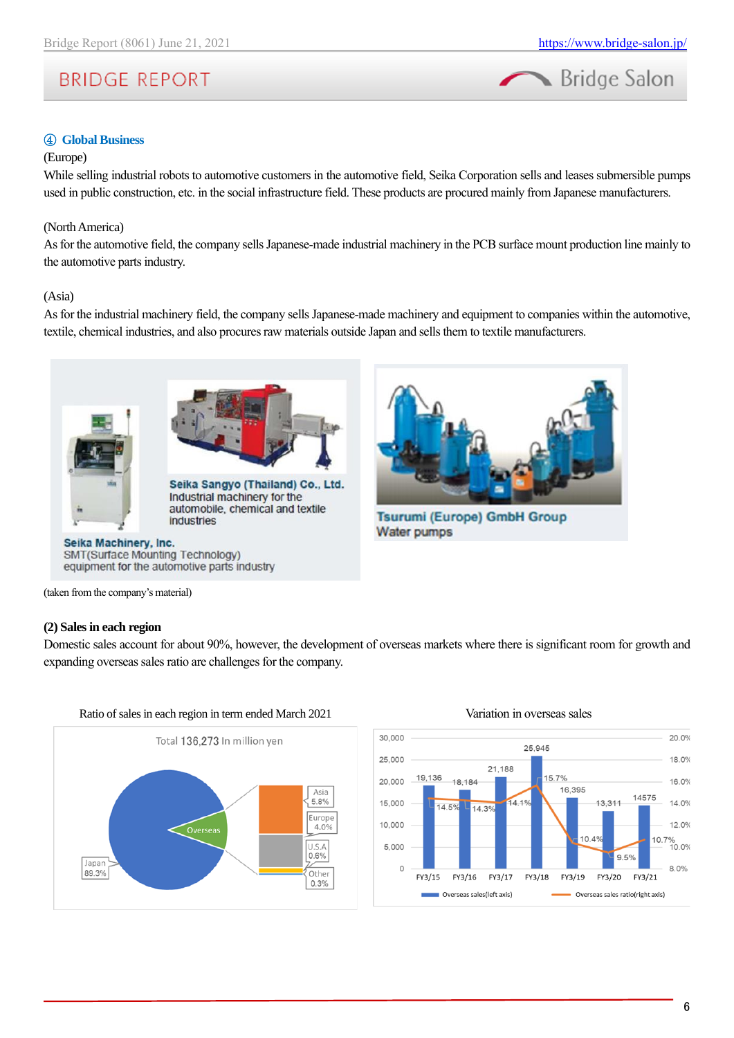

#### ④ **Global Business**

#### (Europe)

While selling industrial robots to automotive customers in the automotive field, Seika Corporation sells and leases submersible pumps used in public construction, etc. in the social infrastructure field. These products are procured mainly from Japanese manufacturers.

#### (North America)

As for the automotive field, the company sells Japanese-made industrial machinery in the PCB surface mount production line mainly to the automotive parts industry.

#### (Asia)

As for the industrial machinery field, the company sells Japanese-made machinery and equipment to companies within the automotive, textile, chemical industries, and also procures raw materials outside Japan and sells them to textile manufacturers.





Seika Sangyo (Thailand) Co., Ltd. Industrial machinery for the automobile, chemical and textile industries

#### Seika Machinery, Inc. SMT(Surface Mounting Technology) equipment for the automotive parts industry



**Tsurumi (Europe) GmbH Group Water pumps** 

(taken from the company's material)

#### **(2) Sales in each region**

Domestic sales account for about 90%, however, the development of overseas markets where there is significant room for growth and expanding overseas sales ratio are challenges for the company.



Ratio of sales in each region in term ended March 2021 Variation in overseas sales

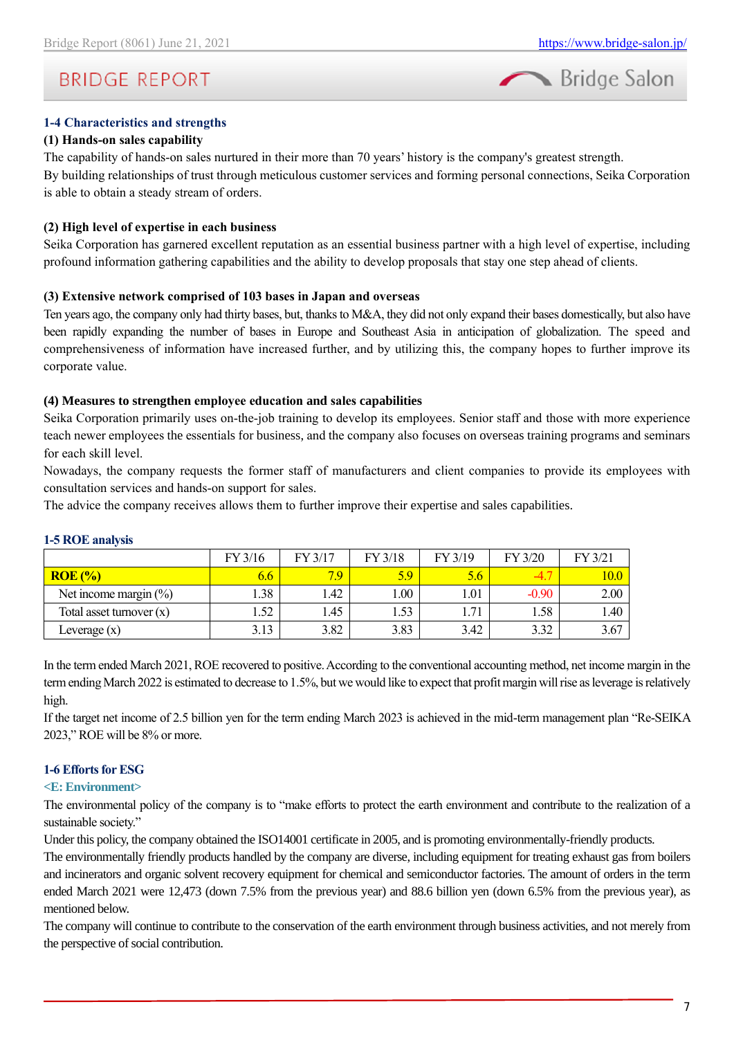Bridge Salon

## **BRIDGE REPORT**

#### **1-4 Characteristics and strengths**

#### **(1) Hands-on sales capability**

The capability of hands-on sales nurtured in their more than 70 years' history is the company's greatest strength. By building relationships of trust through meticulous customer services and forming personal connections, Seika Corporation is able to obtain a steady stream of orders.

#### **(2) High level of expertise in each business**

Seika Corporation has garnered excellent reputation as an essential business partner with a high level of expertise, including profound information gathering capabilities and the ability to develop proposals that stay one step ahead of clients.

#### **(3) Extensive network comprised of 103 bases in Japan and overseas**

Ten years ago, the company only had thirty bases, but, thanks to M&A, they did not only expand their bases domestically, but also have been rapidly expanding the number of bases in Europe and Southeast Asia in anticipation of globalization. The speed and comprehensiveness of information have increased further, and by utilizing this, the company hopes to further improve its corporate value.

#### **(4) Measures to strengthen employee education and sales capabilities**

Seika Corporation primarily uses on-the-job training to develop its employees. Senior staff and those with more experience teach newer employees the essentials for business, and the company also focuses on overseas training programs and seminars for each skill level.

Nowadays, the company requests the former staff of manufacturers and client companies to provide its employees with consultation services and hands-on support for sales.

The advice the company receives allows them to further improve their expertise and sales capabilities.

|                            | FY 3/16 | FY 3/17 | FY 3/18 | FY 3/19          | FY 3/20 | FY 3/21 |
|----------------------------|---------|---------|---------|------------------|---------|---------|
| $ROE$ $%$                  | 6.6     | 7.9     | 5.9     | 5.6 <sub>1</sub> | -4.7    | 10.0    |
| Net income margin $(\%)$   | .38     | 1.42    | 00.     | 1.01             | $-0.90$ | 2.00    |
| Total asset turnover $(x)$ | l.52    | 1.45    | 1.53    | 1.71             | 1.58    | 1.40    |
| Leverage $(x)$             | 3.13    | 3.82    | 3.83    | 3.42             | 3.32    | 3.67    |

#### **1-5 ROE analysis**

In the term ended March 2021, ROE recovered to positive. According to the conventional accounting method, net income margin in the term ending March 2022 is estimated to decrease to 1.5%, but we would like to expect that profit margin will rise as leverage is relatively high.

If the target net income of 2.5 billion yen for the term ending March 2023 is achieved in the mid-term management plan "Re-SEIKA 2023," ROE will be 8% or more.

### **1-6 Efforts for ESG**

#### **<E: Environment>**

The environmental policy of the company is to "make efforts to protect the earth environment and contribute to the realization of a sustainable society."

Under this policy, the company obtained the ISO14001 certificate in 2005, and is promoting environmentally-friendly products.

The environmentally friendly products handled by the company are diverse, including equipment for treating exhaust gas from boilers and incinerators and organic solvent recovery equipment for chemical and semiconductor factories. The amount of orders in the term ended March 2021 were 12,473 (down 7.5% from the previous year) and 88.6 billion yen (down 6.5% from the previous year), as mentioned below.

The company will continue to contribute to the conservation of the earth environment through business activities, and not merely from the perspective of social contribution.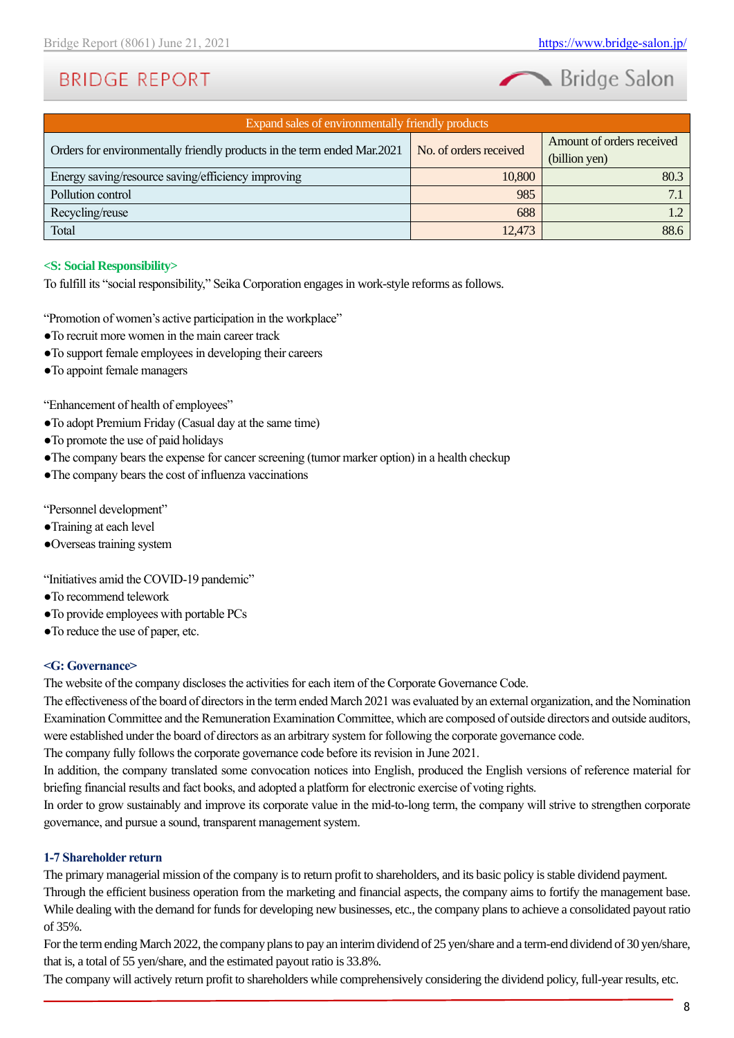Bridge Salon

| Expand sales of environmentally friendly products                       |                        |                           |  |  |  |  |  |
|-------------------------------------------------------------------------|------------------------|---------------------------|--|--|--|--|--|
| Orders for environmentally friendly products in the term ended Mar.2021 | No. of orders received | Amount of orders received |  |  |  |  |  |
|                                                                         |                        | (billion yen)             |  |  |  |  |  |
| Energy saving/resource saving/efficiency improving                      | 10,800                 | 80.3                      |  |  |  |  |  |
| Pollution control                                                       | 985                    |                           |  |  |  |  |  |
| Recycling/reuse                                                         | 688                    |                           |  |  |  |  |  |
| Total                                                                   | 12,473                 | 88.6                      |  |  |  |  |  |

#### **<S: Social Responsibility>**

To fulfill its "social responsibility," Seika Corporation engages in work-style reforms as follows.

"Promotion of women's active participation in the workplace"

- ●To recruit more women in the main career track
- ●To support female employees in developing their careers
- ●To appoint female managers

"Enhancement of health of employees"

- ●To adopt Premium Friday (Casual day at the same time)
- ●To promote the use of paid holidays
- ●The company bears the expense for cancer screening (tumor marker option) in a health checkup
- ●The company bears the cost of influenza vaccinations

"Personnel development"

- ●Training at each level
- ●Overseas training system

"Initiatives amid the COVID-19 pandemic"

- ●To recommend telework
- ●To provide employees with portable PCs
- ●To reduce the use of paper, etc.

#### **<G: Governance>**

The website of the company discloses the activities for each item of the Corporate Governance Code.

The effectiveness of the board of directors in the term ended March 2021 was evaluated by an external organization, and the Nomination Examination Committee and the Remuneration Examination Committee, which are composed of outside directors and outside auditors, were established under the board of directors as an arbitrary system for following the corporate governance code.

The company fully follows the corporate governance code before its revision in June 2021.

In addition, the company translated some convocation notices into English, produced the English versions of reference material for briefing financial results and fact books, and adopted a platform for electronic exercise of voting rights.

In order to grow sustainably and improve its corporate value in the mid-to-long term, the company will strive to strengthen corporate governance, and pursue a sound, transparent management system.

#### **1-7 Shareholder return**

The primary managerial mission of the company is to return profit to shareholders, and its basic policy is stable dividend payment. Through the efficient business operation from the marketing and financial aspects, the company aims to fortify the management base. While dealing with the demand for funds for developing new businesses, etc., the company plans to achieve a consolidated payout ratio of 35%.

For the term ending March 2022, the company plans to pay an interim dividend of 25 yen/share and a term-end dividend of 30 yen/share, that is, a total of 55 yen/share, and the estimated payout ratio is 33.8%.

The company will actively return profit to shareholders while comprehensively considering the dividend policy, full-year results, etc.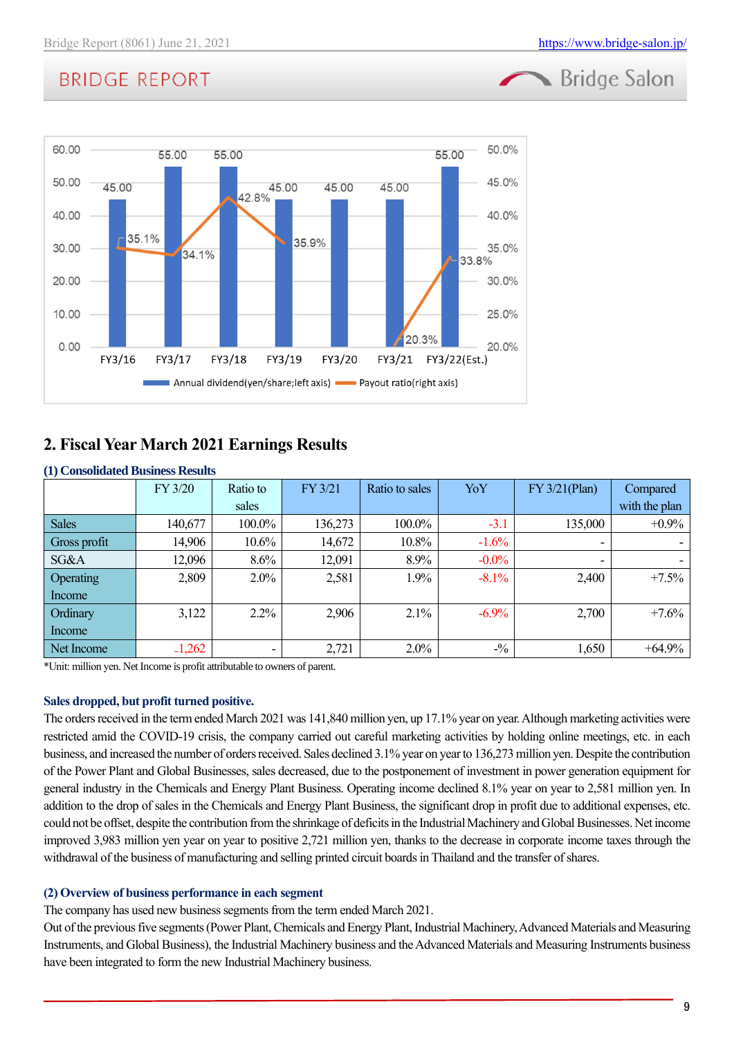Bridge Salon

# **BRIDGE REPORT**



## <span id="page-8-0"></span>**2. Fiscal Year March 2021 Earnings Results**

### **(1) Consolidated Business Results**

|              | FY 3/20  | Ratio to | FY 3/21 | Ratio to sales | YoY      | FY 3/21(Plan) | Compared      |
|--------------|----------|----------|---------|----------------|----------|---------------|---------------|
|              |          | sales    |         |                |          |               | with the plan |
| <b>Sales</b> | 140,677  | 100.0%   | 136,273 | 100.0%         | $-3.1$   | 135,000       | $+0.9\%$      |
| Gross profit | 14,906   | $10.6\%$ | 14,672  | $10.8\%$       | $-1.6%$  | ۰.            |               |
| SG&A         | 12,096   | 8.6%     | 12,091  | 8.9%           | $-0.0\%$ | ٠             |               |
| Operating    | 2,809    | $2.0\%$  | 2,581   | 1.9%           | $-8.1\%$ | 2,400         | $+7.5%$       |
| Income       |          |          |         |                |          |               |               |
| Ordinary     | 3,122    | $2.2\%$  | 2,906   | 2.1%           | $-6.9\%$ | 2,700         | $+7.6%$       |
| Income       |          |          |         |                |          |               |               |
| Net Income   | $-1,262$ |          | 2,721   | $2.0\%$        | $-1/6$   | 1,650         | $+64.9%$      |

\*Unit: million yen. Net Income is profit attributable to owners of parent.

### **Sales dropped, but profit turned positive.**

The orders received in the term ended March 2021 was 141,840 million yen, up 17.1% year on year. Although marketing activities were restricted amid the COVID-19 crisis, the company carried out careful marketing activities by holding online meetings, etc. in each business, and increased the number of orders received. Sales declined 3.1% year on year to 136,273 million yen. Despite the contribution of the Power Plant and Global Businesses, sales decreased, due to the postponement of investment in power generation equipment for general industry in the Chemicals and Energy Plant Business. Operating income declined 8.1% year on year to 2,581 million yen. In addition to the drop of sales in the Chemicals and Energy Plant Business, the significant drop in profit due to additional expenses, etc. could not be offset, despite the contribution from the shrinkage of deficits in the Industrial Machinery and Global Businesses. Net income improved 3,983 million yen year on year to positive 2,721 million yen, thanks to the decrease in corporate income taxes through the withdrawal of the business of manufacturing and selling printed circuit boards in Thailand and the transfer of shares.

### **(2) Overview of business performance in each segment**

The company has used new business segments from the term ended March 2021.

Out of the previous five segments (Power Plant, Chemicals and Energy Plant, Industrial Machinery, Advanced Materials and Measuring Instruments, and Global Business), the Industrial Machinery business and the Advanced Materials and Measuring Instruments business have been integrated to form the new Industrial Machinery business.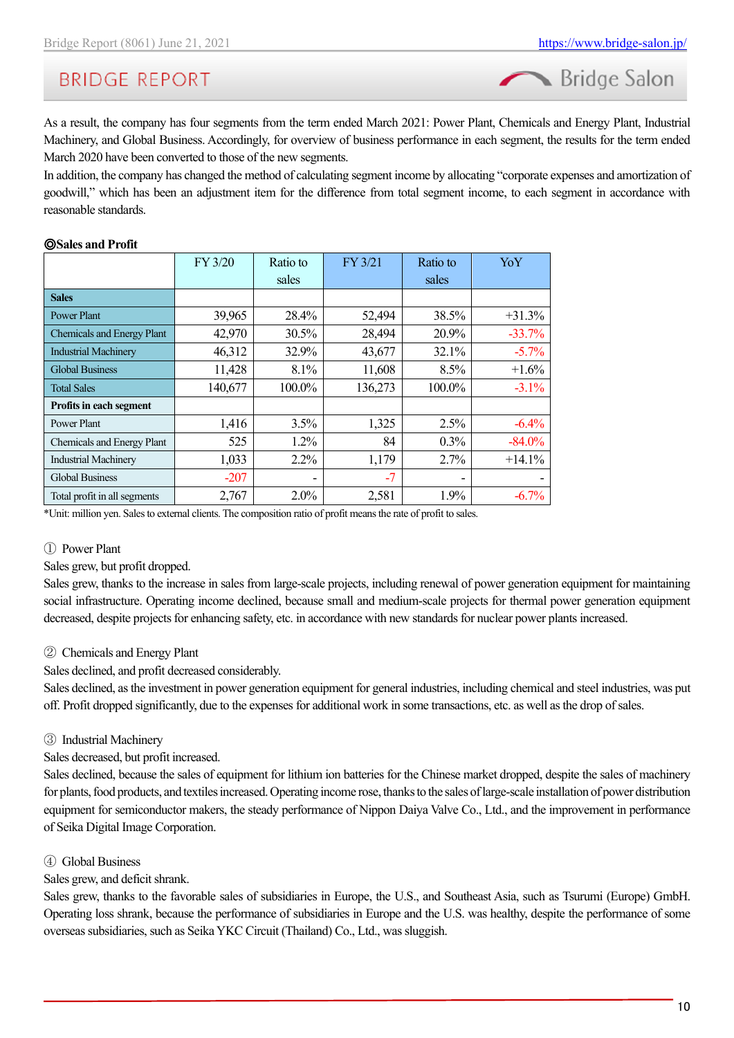Bridge Salon

As a result, the company has four segments from the term ended March 2021: Power Plant, Chemicals and Energy Plant, Industrial Machinery, and Global Business. Accordingly, for overview of business performance in each segment, the results for the term ended March 2020 have been converted to those of the new segments.

In addition, the company has changed the method of calculating segment income by allocating "corporate expenses and amortization of goodwill," which has been an adjustment item for the difference from total segment income, to each segment in accordance with reasonable standards.

#### ◎**Sales and Profit**

|                              | FY 3/20 | Ratio to                 | FY 3/21 | Ratio to | YoY       |
|------------------------------|---------|--------------------------|---------|----------|-----------|
|                              |         | sales                    |         | sales    |           |
| <b>Sales</b>                 |         |                          |         |          |           |
| <b>Power Plant</b>           | 39,965  | 28.4%                    | 52,494  | 38.5%    | $+31.3%$  |
| Chemicals and Energy Plant   | 42,970  | 30.5%                    | 28,494  | 20.9%    | $-33.7%$  |
| <b>Industrial Machinery</b>  | 46,312  | 32.9%                    | 43,677  | 32.1%    | $-5.7\%$  |
| <b>Global Business</b>       | 11,428  | 8.1%                     | 11,608  | 8.5%     | $+1.6%$   |
| <b>Total Sales</b>           | 140,677 | 100.0%                   | 136,273 | 100.0%   | $-3.1\%$  |
| Profits in each segment      |         |                          |         |          |           |
| Power Plant                  | 1,416   | 3.5%                     | 1,325   | 2.5%     | $-6.4\%$  |
| Chemicals and Energy Plant   | 525     | 1.2%                     | 84      | 0.3%     | $-84.0\%$ |
| <b>Industrial Machinery</b>  | 1,033   | 2.2%                     | 1,179   | 2.7%     | $+14.1%$  |
| <b>Global Business</b>       | $-207$  | $\overline{\phantom{a}}$ | $-7$    | -        |           |
| Total profit in all segments | 2,767   | $2.0\%$                  | 2,581   | 1.9%     | $-6.7\%$  |

\*Unit: million yen. Sales to external clients. The composition ratio of profit means the rate of profit to sales.

#### ① Power Plant

#### Sales grew, but profit dropped.

Sales grew, thanks to the increase in sales from large-scale projects, including renewal of power generation equipment for maintaining social infrastructure. Operating income declined, because small and medium-scale projects for thermal power generation equipment decreased, despite projects for enhancing safety, etc. in accordance with new standards for nuclear power plants increased.

#### ② Chemicals and Energy Plant

Sales declined, and profit decreased considerably.

Sales declined, as the investment in power generation equipment for general industries, including chemical and steel industries, was put off. Profit dropped significantly, due to the expenses for additional work in some transactions, etc. as well as the drop ofsales.

#### ③ Industrial Machinery

Sales decreased, but profit increased.

Sales declined, because the sales of equipment for lithium ion batteries for the Chinese market dropped, despite the sales of machinery for plants, food products, and textiles increased. Operating income rose, thanks to the sales of large-scale installation of power distribution equipment for semiconductor makers, the steady performance of Nippon Daiya Valve Co., Ltd., and the improvement in performance of Seika Digital Image Corporation.

#### ④ Global Business

Sales grew, and deficit shrank.

Sales grew, thanks to the favorable sales of subsidiaries in Europe, the U.S., and Southeast Asia, such as Tsurumi (Europe) GmbH. Operating loss shrank, because the performance of subsidiaries in Europe and the U.S. was healthy, despite the performance of some overseas subsidiaries, such as Seika YKC Circuit (Thailand) Co., Ltd., was sluggish.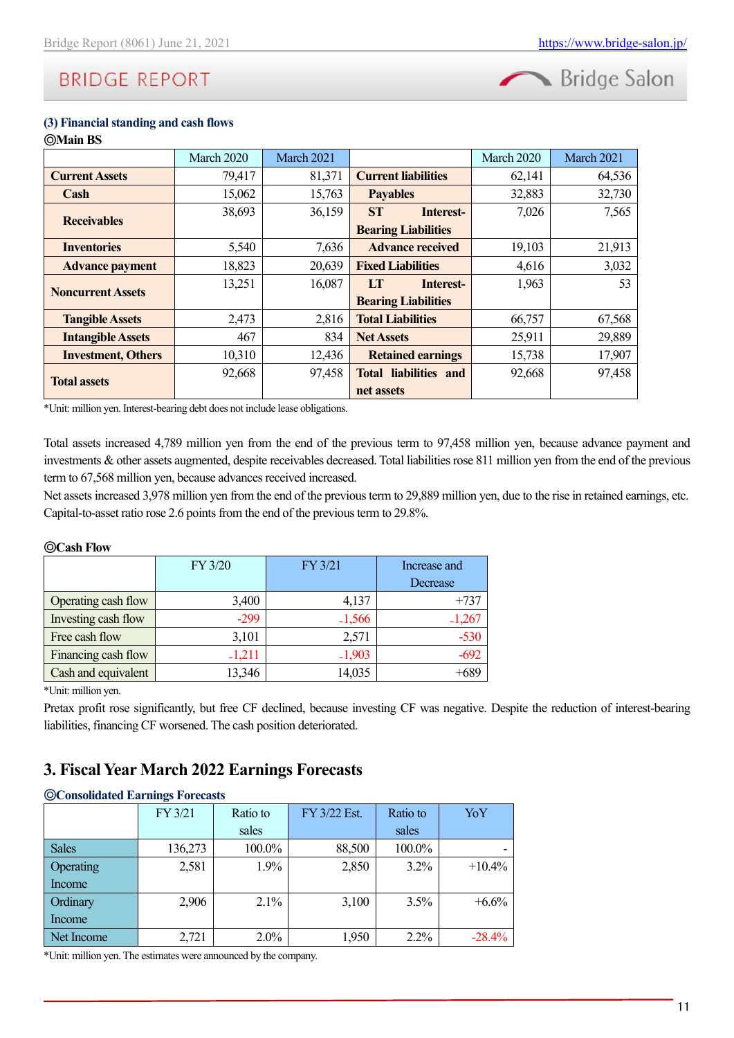

#### **(3) Financial standing and cash flows** ◎**Main BS**

|                           | March 2020 | March 2021 |                              | March 2020 | March 2021 |
|---------------------------|------------|------------|------------------------------|------------|------------|
| <b>Current Assets</b>     | 79,417     | 81,371     | <b>Current liabilities</b>   | 62,141     | 64,536     |
| Cash                      | 15,062     | 15,763     | <b>Payables</b>              | 32,883     | 32,730     |
|                           | 38,693     | 36,159     | <b>ST</b><br>Interest-       | 7,026      | 7,565      |
| <b>Receivables</b>        |            |            | <b>Bearing Liabilities</b>   |            |            |
| <b>Inventories</b>        | 5,540      | 7,636      | <b>Advance received</b>      | 19,103     | 21,913     |
| <b>Advance payment</b>    | 18,823     | 20,639     | <b>Fixed Liabilities</b>     | 4,616      | 3,032      |
| <b>Noncurrent Assets</b>  | 13,251     | 16,087     | LТ<br>Interest-              | 1,963      | 53         |
|                           |            |            | <b>Bearing Liabilities</b>   |            |            |
| <b>Tangible Assets</b>    | 2,473      | 2,816      | <b>Total Liabilities</b>     | 66,757     | 67,568     |
| <b>Intangible Assets</b>  | 467        | 834        | <b>Net Assets</b>            | 25,911     | 29,889     |
| <b>Investment, Others</b> | 10,310     | 12,436     | <b>Retained earnings</b>     | 15,738     | 17,907     |
| <b>Total assets</b>       | 92,668     | 97,458     | <b>Total liabilities and</b> | 92,668     | 97,458     |
|                           |            |            | net assets                   |            |            |

\*Unit: million yen. Interest-bearing debt does not include lease obligations.

Total assets increased 4,789 million yen from the end of the previous term to 97,458 million yen, because advance payment and investments & other assets augmented, despite receivables decreased. Total liabilities rose 811 million yen from the end of the previous term to 67,568 million yen, because advances received increased.

Net assets increased 3,978 million yen from the end of the previous term to 29,889 million yen, due to the rise in retained earnings, etc. Capital-to-asset ratio rose 2.6 points from the end of the previous term to 29.8%.

#### ◎**Cash Flow**

|                     | FY 3/20  | FY 3/21  | Increase and |
|---------------------|----------|----------|--------------|
|                     |          |          | Decrease     |
| Operating cash flow | 3,400    | 4,137    | $+737$       |
| Investing cash flow | $-299$   | $-1,566$ | $-1,267$     |
| Free cash flow      | 3,101    | 2,571    | $-530$       |
| Financing cash flow | $-1,211$ | $-1,903$ | $-692$       |
| Cash and equivalent | 13,346   | 14,035   | $+689$       |

\*Unit: million yen.

Pretax profit rose significantly, but free CF declined, because investing CF was negative. Despite the reduction of interest-bearing liabilities, financing CF worsened. The cash position deteriorated.

### <span id="page-10-0"></span>**3. Fiscal Year March 2022 Earnings Forecasts**

#### ◎**Consolidated Earnings Forecasts**

|              | FY 3/21 | Ratio to | FY 3/22 Est. | Ratio to | YoY      |
|--------------|---------|----------|--------------|----------|----------|
|              |         | sales    |              | sales    |          |
| <b>Sales</b> | 136,273 | 100.0%   | 88,500       | 100.0%   |          |
| Operating    | 2,581   | 1.9%     | 2,850        | 3.2%     | $+10.4%$ |
| Income       |         |          |              |          |          |
| Ordinary     | 2,906   | 2.1%     | 3,100        | 3.5%     | $+6.6%$  |
| Income       |         |          |              |          |          |
| Net Income   | 2,721   | $2.0\%$  | 1,950        | $2.2\%$  | $-28.4%$ |

\*Unit: million yen. The estimates were announced by the company.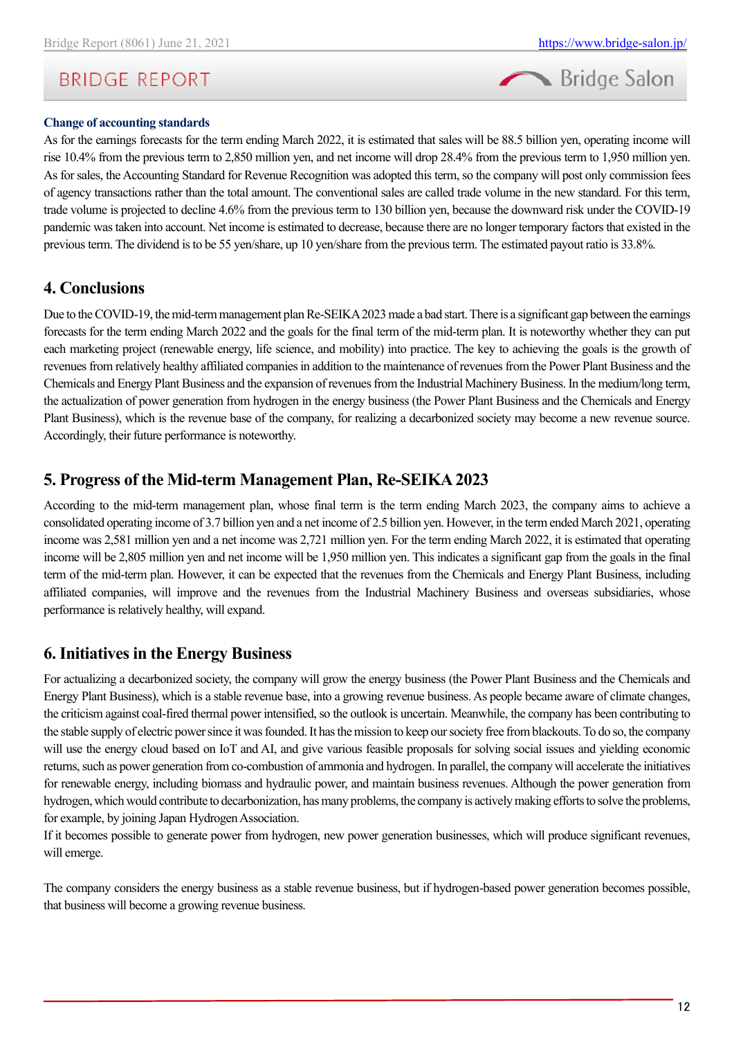#### **Change of accounting standards**

As for the earnings forecasts for the term ending March 2022, it is estimated that sales will be 88.5 billion yen, operating income will rise 10.4% from the previous term to 2,850 million yen, and net income will drop 28.4% from the previous term to 1,950 million yen. As for sales, the Accounting Standard for Revenue Recognition was adopted this term, so the company will post only commission fees of agency transactions rather than the total amount. The conventional sales are called trade volume in the new standard. For this term, trade volume is projected to decline 4.6% from the previous term to 130 billion yen, because the downward risk under the COVID-19 pandemic was taken into account. Net income is estimated to decrease, because there are no longer temporary factors that existed in the previous term. The dividend is to be 55 yen/share, up 10 yen/share from the previous term. The estimated payout ratio is 33.8%.

### <span id="page-11-0"></span>**4. Conclusions**

Due to the COVID-19, the mid-term management plan Re-SEIKA 2023 made a bad start. There is a significant gap between the earnings forecasts for the term ending March 2022 and the goals for the final term of the mid-term plan. It is noteworthy whether they can put each marketing project (renewable energy, life science, and mobility) into practice. The key to achieving the goals is the growth of revenues from relatively healthy affiliated companies in addition to the maintenance of revenues from the Power Plant Business and the Chemicals and Energy Plant Business and the expansion of revenues from the Industrial Machinery Business. In the medium/long term, the actualization of power generation from hydrogen in the energy business (the Power Plant Business and the Chemicals and Energy Plant Business), which is the revenue base of the company, for realizing a decarbonized society may become a new revenue source. Accordingly, their future performance is noteworthy.

### <span id="page-11-1"></span>**5. Progress of the Mid-term Management Plan, Re-SEIKA2023**

According to the mid-term management plan, whose final term is the term ending March 2023, the company aims to achieve a consolidated operating income of 3.7 billion yen and a net income of 2.5 billion yen. However, in the term ended March 2021, operating income was 2,581 million yen and a net income was 2,721 million yen. For the term ending March 2022, it is estimated that operating income will be 2,805 million yen and net income will be 1,950 million yen. This indicates a significant gap from the goals in the final term of the mid-term plan. However, it can be expected that the revenues from the Chemicals and Energy Plant Business, including affiliated companies, will improve and the revenues from the Industrial Machinery Business and overseas subsidiaries, whose performance is relatively healthy, will expand.

### <span id="page-11-2"></span>**6. Initiatives in the Energy Business**

For actualizing a decarbonized society, the company will grow the energy business (the Power Plant Business and the Chemicals and Energy Plant Business), which is a stable revenue base, into a growing revenue business. As people became aware of climate changes, the criticism against coal-fired thermal power intensified, so the outlook is uncertain. Meanwhile, the company has been contributing to the stable supply of electric power since it was founded. It has the mission to keep our society free from blackouts. To do so, the company will use the energy cloud based on IoT and AI, and give various feasible proposals for solving social issues and yielding economic returns, such as power generation from co-combustion of ammonia and hydrogen. In parallel, the company will accelerate the initiatives for renewable energy, including biomass and hydraulic power, and maintain business revenues. Although the power generation from hydrogen, which would contribute to decarbonization, has many problems, the company is actively making efforts to solve the problems, for example, by joining Japan Hydrogen Association.

If it becomes possible to generate power from hydrogen, new power generation businesses, which will produce significant revenues, will emerge.

The company considers the energy business as a stable revenue business, but if hydrogen-based power generation becomes possible, that business will become a growing revenue business.

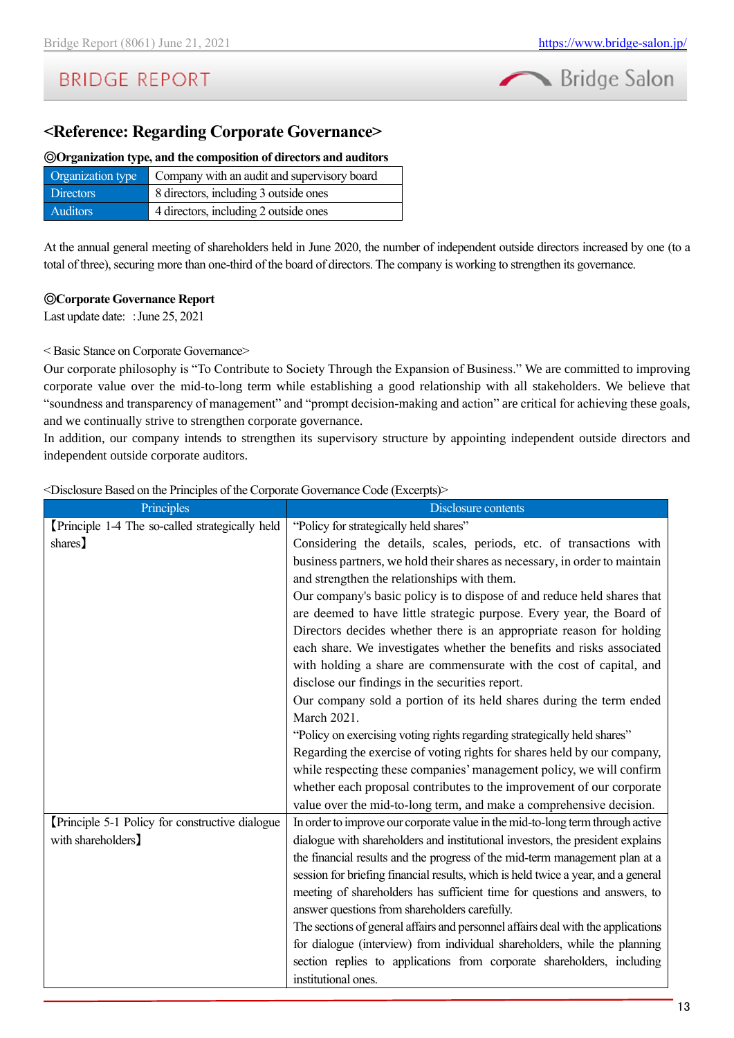

### <span id="page-12-0"></span>**<Reference: Regarding Corporate Governance>**

#### ◎**Organization type, and the composition of directors and auditors**

| Organization type | Company with an audit and supervisory board |
|-------------------|---------------------------------------------|
| <b>Directors</b>  | 8 directors, including 3 outside ones       |
| <b>Auditors</b>   | 4 directors, including 2 outside ones       |

At the annual general meeting of shareholders held in June 2020, the number of independent outside directors increased by one (to a total of three), securing more than one-third of the board of directors. The company is working to strengthen its governance.

#### ◎**Corporate Governance Report**

Last update date: : June 25, 2021

#### < Basic Stance on Corporate Governance>

Our corporate philosophy is "To Contribute to Society Through the Expansion of Business." We are committed to improving corporate value over the mid-to-long term while establishing a good relationship with all stakeholders. We believe that "soundness and transparency of management" and "prompt decision-making and action" are critical for achieving these goals, and we continually strive to strengthen corporate governance.

In addition, our company intends to strengthen its supervisory structure by appointing independent outside directors and independent outside corporate auditors.

<Disclosure Based on the Principles of the Corporate Governance Code (Excerpts)>

| Principles                                     | Disclosure contents                                                               |
|------------------------------------------------|-----------------------------------------------------------------------------------|
| Principle 1-4 The so-called strategically held | "Policy for strategically held shares"                                            |
| shares)                                        | Considering the details, scales, periods, etc. of transactions with               |
|                                                | business partners, we hold their shares as necessary, in order to maintain        |
|                                                | and strengthen the relationships with them.                                       |
|                                                | Our company's basic policy is to dispose of and reduce held shares that           |
|                                                | are deemed to have little strategic purpose. Every year, the Board of             |
|                                                | Directors decides whether there is an appropriate reason for holding              |
|                                                | each share. We investigates whether the benefits and risks associated             |
|                                                | with holding a share are commensurate with the cost of capital, and               |
|                                                | disclose our findings in the securities report.                                   |
|                                                | Our company sold a portion of its held shares during the term ended               |
|                                                | March 2021.                                                                       |
|                                                | "Policy on exercising voting rights regarding strategically held shares"          |
|                                                | Regarding the exercise of voting rights for shares held by our company,           |
|                                                | while respecting these companies' management policy, we will confirm              |
|                                                | whether each proposal contributes to the improvement of our corporate             |
|                                                | value over the mid-to-long term, and make a comprehensive decision.               |
| Principle 5-1 Policy for constructive dialogue | In order to improve our corporate value in the mid-to-long term through active    |
| with shareholders]                             | dialogue with shareholders and institutional investors, the president explains    |
|                                                | the financial results and the progress of the mid-term management plan at a       |
|                                                | session for briefing financial results, which is held twice a year, and a general |
|                                                | meeting of shareholders has sufficient time for questions and answers, to         |
|                                                | answer questions from shareholders carefully.                                     |
|                                                | The sections of general affairs and personnel affairs deal with the applications  |
|                                                | for dialogue (interview) from individual shareholders, while the planning         |
|                                                | section replies to applications from corporate shareholders, including            |
|                                                | institutional ones.                                                               |